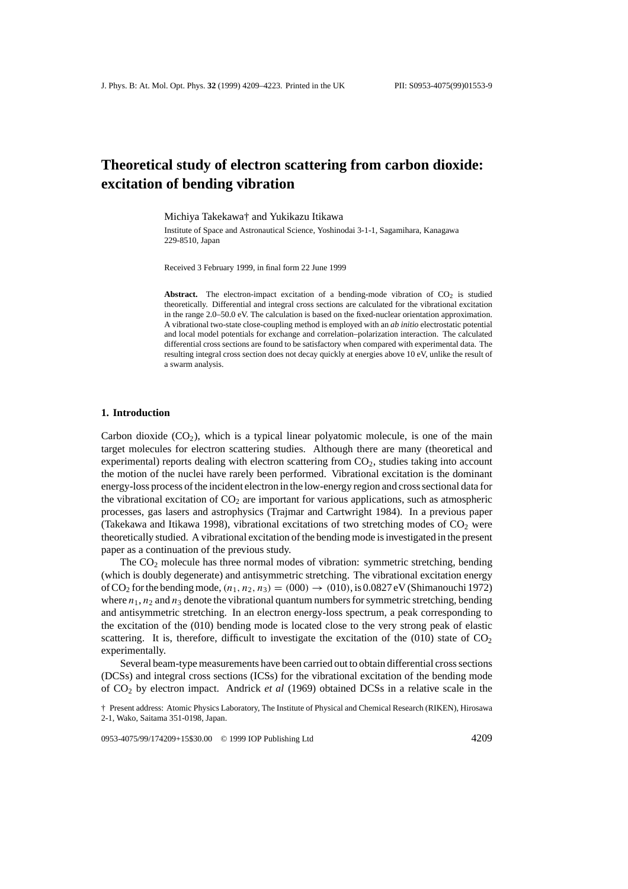# **Theoretical study of electron scattering from carbon dioxide: excitation of bending vibration**

Michiya Takekawa† and Yukikazu Itikawa

Institute of Space and Astronautical Science, Yoshinodai 3-1-1, Sagamihara, Kanagawa 229-8510, Japan

Received 3 February 1999, in final form 22 June 1999

**Abstract.** The electron-impact excitation of a bending-mode vibration of  $CO<sub>2</sub>$  is studied theoretically. Differential and integral cross sections are calculated for the vibrational excitation in the range 2.0–50.0 eV. The calculation is based on the fixed-nuclear orientation approximation. A vibrational two-state close-coupling method is employed with an *ab initio* electrostatic potential and local model potentials for exchange and correlation–polarization interaction. The calculated differential cross sections are found to be satisfactory when compared with experimental data. The resulting integral cross section does not decay quickly at energies above 10 eV, unlike the result of a swarm analysis.

#### **1. Introduction**

Carbon dioxide  $(CO<sub>2</sub>)$ , which is a typical linear polyatomic molecule, is one of the main target molecules for electron scattering studies. Although there are many (theoretical and experimental) reports dealing with electron scattering from  $CO<sub>2</sub>$ , studies taking into account the motion of the nuclei have rarely been performed. Vibrational excitation is the dominant energy-loss process of the incident electron in the low-energy region and cross sectional data for the vibrational excitation of  $CO<sub>2</sub>$  are important for various applications, such as atmospheric processes, gas lasers and astrophysics (Trajmar and Cartwright 1984). In a previous paper (Takekawa and Itikawa 1998), vibrational excitations of two stretching modes of  $CO<sub>2</sub>$  were theoretically studied. A vibrational excitation of the bending mode is investigated in the present paper as a continuation of the previous study.

The  $CO<sub>2</sub>$  molecule has three normal modes of vibration: symmetric stretching, bending (which is doubly degenerate) and antisymmetric stretching. The vibrational excitation energy of CO<sub>2</sub> for the bending mode,  $(n_1, n_2, n_3) = (000) \rightarrow (010)$ , is 0.0827 eV (Shimanouchi 1972) where  $n_1$ ,  $n_2$  and  $n_3$  denote the vibrational quantum numbers for symmetric stretching, bending and antisymmetric stretching. In an electron energy-loss spectrum, a peak corresponding to the excitation of the (010) bending mode is located close to the very strong peak of elastic scattering. It is, therefore, difficult to investigate the excitation of the  $(010)$  state of  $CO<sub>2</sub>$ experimentally.

Several beam-type measurements have been carried out to obtain differential cross sections (DCSs) and integral cross sections (ICSs) for the vibrational excitation of the bending mode of CO2 by electron impact. Andrick *et al* (1969) obtained DCSs in a relative scale in the

<sup>†</sup> Present address: Atomic Physics Laboratory, The Institute of Physical and Chemical Research (RIKEN), Hirosawa 2-1, Wako, Saitama 351-0198, Japan.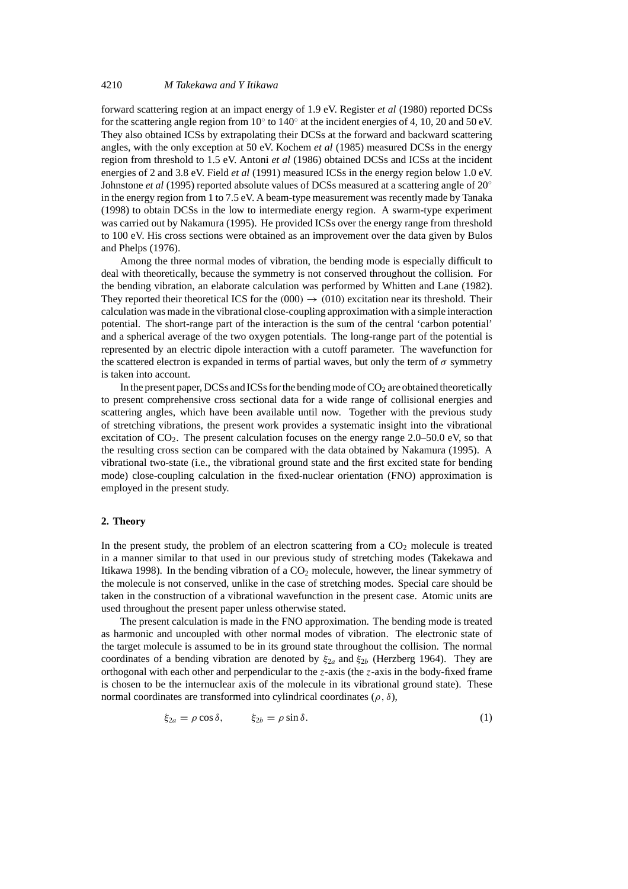## 4210 *M Takekawa and Y Itikawa*

forward scattering region at an impact energy of 1.9 eV. Register *et al* (1980) reported DCSs for the scattering angle region from 10 $\degree$  to 140 $\degree$  at the incident energies of 4, 10, 20 and 50 eV. They also obtained ICSs by extrapolating their DCSs at the forward and backward scattering angles, with the only exception at 50 eV. Kochem *et al* (1985) measured DCSs in the energy region from threshold to 1.5 eV. Antoni *et al* (1986) obtained DCSs and ICSs at the incident energies of 2 and 3.8 eV. Field *et al* (1991) measured ICSs in the energy region below 1.0 eV. Johnstone *et al* (1995) reported absolute values of DCSs measured at a scattering angle of 20◦ in the energy region from 1 to 7.5 eV. A beam-type measurement was recently made by Tanaka (1998) to obtain DCSs in the low to intermediate energy region. A swarm-type experiment was carried out by Nakamura (1995). He provided ICSs over the energy range from threshold to 100 eV. His cross sections were obtained as an improvement over the data given by Bulos and Phelps (1976).

Among the three normal modes of vibration, the bending mode is especially difficult to deal with theoretically, because the symmetry is not conserved throughout the collision. For the bending vibration, an elaborate calculation was performed by Whitten and Lane (1982). They reported their theoretical ICS for the  $(000) \rightarrow (010)$  excitation near its threshold. Their calculation was made in the vibrational close-coupling approximation with a simple interaction potential. The short-range part of the interaction is the sum of the central 'carbon potential' and a spherical average of the two oxygen potentials. The long-range part of the potential is represented by an electric dipole interaction with a cutoff parameter. The wavefunction for the scattered electron is expanded in terms of partial waves, but only the term of  $\sigma$  symmetry is taken into account.

In the present paper, DCSs and ICSs for the bending mode of  $CO<sub>2</sub>$  are obtained theoretically to present comprehensive cross sectional data for a wide range of collisional energies and scattering angles, which have been available until now. Together with the previous study of stretching vibrations, the present work provides a systematic insight into the vibrational excitation of  $CO<sub>2</sub>$ . The present calculation focuses on the energy range 2.0–50.0 eV, so that the resulting cross section can be compared with the data obtained by Nakamura (1995). A vibrational two-state (i.e., the vibrational ground state and the first excited state for bending mode) close-coupling calculation in the fixed-nuclear orientation (FNO) approximation is employed in the present study.

#### **2. Theory**

In the present study, the problem of an electron scattering from a  $CO<sub>2</sub>$  molecule is treated in a manner similar to that used in our previous study of stretching modes (Takekawa and Itikawa 1998). In the bending vibration of a  $CO<sub>2</sub>$  molecule, however, the linear symmetry of the molecule is not conserved, unlike in the case of stretching modes. Special care should be taken in the construction of a vibrational wavefunction in the present case. Atomic units are used throughout the present paper unless otherwise stated.

The present calculation is made in the FNO approximation. The bending mode is treated as harmonic and uncoupled with other normal modes of vibration. The electronic state of the target molecule is assumed to be in its ground state throughout the collision. The normal coordinates of a bending vibration are denoted by *ξ*<sup>2</sup>*<sup>a</sup>* and *ξ*<sup>2</sup>*<sup>b</sup>* (Herzberg 1964). They are orthogonal with each other and perpendicular to the *z*-axis (the *z*-axis in the body-fixed frame is chosen to be the internuclear axis of the molecule in its vibrational ground state). These normal coordinates are transformed into cylindrical coordinates (*ρ,δ*),

$$
\xi_{2a} = \rho \cos \delta, \qquad \xi_{2b} = \rho \sin \delta. \tag{1}
$$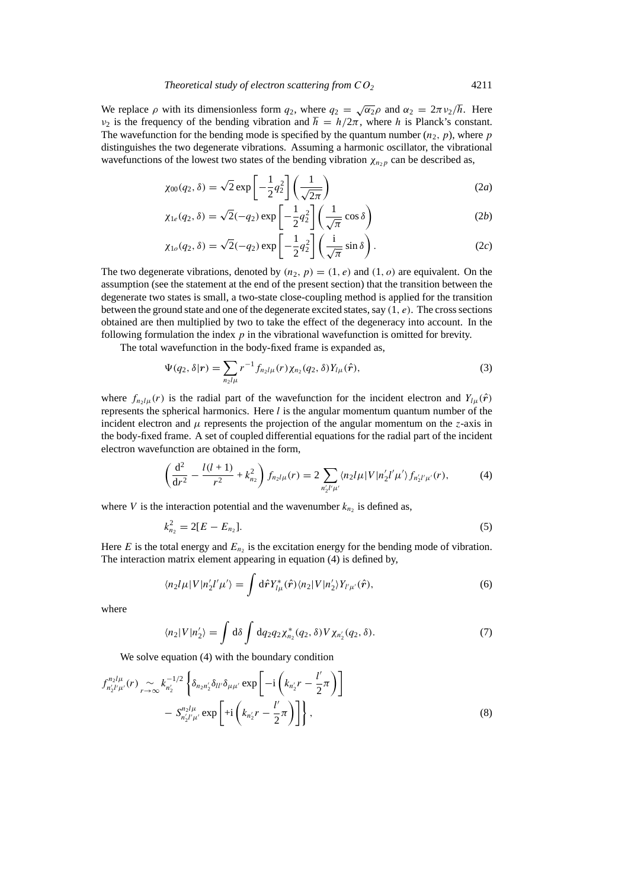We replace  $\rho$  with its dimensionless form  $q_2$ , where  $q_2 = \sqrt{\alpha_2} \rho$  and  $\alpha_2 = 2\pi \nu_2/\hbar$ . Here *ν*<sub>2</sub> is the frequency of the bending vibration and  $\hbar = h/2\pi$ , where *h* is Planck's constant. The wavefunction for the bending mode is specified by the quantum number  $(n_2, p)$ , where *p* distinguishes the two degenerate vibrations. Assuming a harmonic oscillator, the vibrational wavefunctions of the lowest two states of the bending vibration  $\chi_{n,p}$  can be described as,

$$
\chi_{00}(q_2, \delta) = \sqrt{2} \exp\left[-\frac{1}{2}q_2^2\right] \left(\frac{1}{\sqrt{2\pi}}\right)
$$
 (2*a*)

$$
\chi_{1e}(q_2, \delta) = \sqrt{2}(-q_2) \exp\left[-\frac{1}{2}q_2^2\right] \left(\frac{1}{\sqrt{\pi}}\cos\delta\right)
$$
 (2b)

$$
\chi_{1o}(q_2,\delta) = \sqrt{2}(-q_2) \exp\left[-\frac{1}{2}q_2^2\right] \left(\frac{\mathrm{i}}{\sqrt{\pi}}\sin\delta\right). \tag{2c}
$$

The two degenerate vibrations, denoted by  $(n_2, p) = (1, e)$  and  $(1, o)$  are equivalent. On the assumption (see the statement at the end of the present section) that the transition between the degenerate two states is small, a two-state close-coupling method is applied for the transition between the ground state and one of the degenerate excited states, say *(*1*, e)*. The cross sections obtained are then multiplied by two to take the effect of the degeneracy into account. In the following formulation the index *p* in the vibrational wavefunction is omitted for brevity.

The total wavefunction in the body-fixed frame is expanded as,

$$
\Psi(q_2, \delta | r) = \sum_{n_2 l \mu} r^{-1} f_{n_2 l \mu}(r) \chi_{n_2}(q_2, \delta) Y_{l \mu}(\hat{r}), \tag{3}
$$

where  $f_{n,l\mu}(r)$  is the radial part of the wavefunction for the incident electron and  $Y_{l\mu}(\hat{r})$ represents the spherical harmonics. Here *l* is the angular momentum quantum number of the incident electron and  $\mu$  represents the projection of the angular momentum on the *z*-axis in the body-fixed frame. A set of coupled differential equations for the radial part of the incident electron wavefunction are obtained in the form,

$$
\left(\frac{d^2}{dr^2} - \frac{l(l+1)}{r^2} + k_{n_2}^2\right) f_{n_2 l\mu}(r) = 2 \sum_{n'_2 l'\mu'} \langle n_2 l\mu | V | n'_2 l'\mu' \rangle f_{n'_2 l'\mu'}(r), \tag{4}
$$

where *V* is the interaction potential and the wavenumber  $k_{n_2}$  is defined as,

$$
k_{n_2}^2 = 2[E - E_{n_2}].
$$
\n(5)

Here  $E$  is the total energy and  $E_{n<sub>2</sub>}$  is the excitation energy for the bending mode of vibration. The interaction matrix element appearing in equation (4) is defined by,

$$
\langle n_2 l \mu | V | n'_2 l' \mu' \rangle = \int d\hat{\mathbf{r}} Y_{l\mu}^*(\hat{\mathbf{r}}) \langle n_2 | V | n'_2 \rangle Y_{l'\mu'}(\hat{\mathbf{r}}), \tag{6}
$$

where

$$
\langle n_2|V|n_2'\rangle = \int d\delta \int dq_2 q_2 \chi_{n_2}^*(q_2, \delta) V \chi_{n_2'}(q_2, \delta).
$$
 (7)

We solve equation (4) with the boundary condition

$$
f_{n'_{2}l'\mu'}^{n_{2}l\mu}(r) \underset{r \to \infty}{\sim} k_{n'_{2}}^{-1/2} \left\{ \delta_{n_{2}n'_{2}} \delta_{ll'} \delta_{\mu\mu'} \exp\left[ -i \left( k_{n'_{2}} r - \frac{l'}{2} \pi \right) \right] - S_{n'_{2}l'\mu'}^{n_{2}l\mu} \exp\left[ +i \left( k_{n'_{2}} r - \frac{l'}{2} \pi \right) \right] \right\},
$$
\n(8)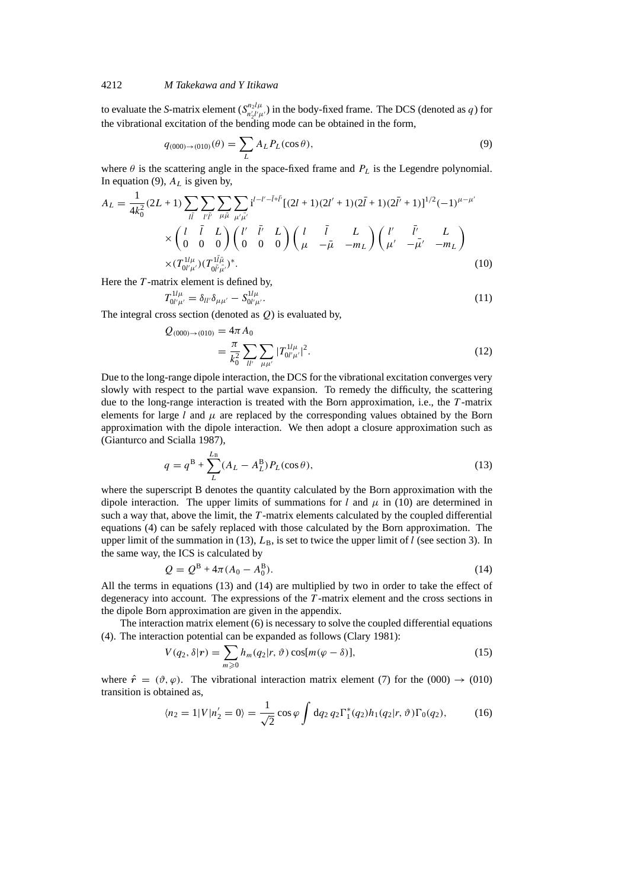## 4212 *M Takekawa and Y Itikawa*

to evaluate the *S*-matrix element  $(S_{n'_2 l'_\mu l'_\nu}^{n_2 l_\mu})$  in the body-fixed frame. The DCS (denoted as *q*) for the vibrational excitation of the bending mode can be obtained in the form,

$$
q_{(000)\to(010)}(\theta) = \sum_{L} A_L P_L(\cos \theta), \tag{9}
$$

where  $\theta$  is the scattering angle in the space-fixed frame and  $P<sub>L</sub>$  is the Legendre polynomial. In equation (9),  $A_L$  is given by,

$$
A_{L} = \frac{1}{4k_{0}^{2}} (2L+1) \sum_{l\bar{l}} \sum_{l'\bar{l'}} \sum_{\mu\bar{\mu}} \sum_{\mu'\bar{\mu'}} i^{l-l'-\bar{l}+\bar{l'}} [(2l+1)(2l'+1)(2\bar{l}+1)(2\bar{l}+1)]^{1/2} (-1)^{\mu-\mu'}
$$
  
 
$$
\times \begin{pmatrix} l & \bar{l} & L \\ 0 & 0 & 0 \end{pmatrix} \begin{pmatrix} l' & \bar{l'} & L \\ 0 & 0 & 0 \end{pmatrix} \begin{pmatrix} l & \bar{l} & L \\ \mu & -\bar{\mu} & -m_{L} \end{pmatrix} \begin{pmatrix} l' & \bar{l'} & L \\ \mu' & -\bar{\mu'} & -m_{L} \end{pmatrix}
$$
  
 
$$
\times (T_{0l'\mu'}^{1l\mu})(T_{0l'\bar{\mu'}}^{1l\bar{\mu}})^{*}.
$$
 (10)

Here the *T*-matrix element is defined by,

$$
T_{0l'\mu'}^{1l\mu} = \delta_{ll'}\delta_{\mu\mu'} - S_{0l'\mu'}^{1l\mu}.
$$
\n(11)

The integral cross section (denoted as *Q*) is evaluated by,

$$
Q_{(000)\to(010)} = 4\pi A_0
$$
  
=  $\frac{\pi}{k_0^2} \sum_{ll'} \sum_{\mu\mu'} |T_{0l'\mu'}^{1l\mu}|^2$ . (12)

Due to the long-range dipole interaction, the DCS for the vibrational excitation converges very slowly with respect to the partial wave expansion. To remedy the difficulty, the scattering due to the long-range interaction is treated with the Born approximation, i.e., the *T* -matrix elements for large *l* and  $\mu$  are replaced by the corresponding values obtained by the Born approximation with the dipole interaction. We then adopt a closure approximation such as (Gianturco and Scialla 1987),

$$
q = q^{B} + \sum_{L}^{L_{B}} (A_{L} - A_{L}^{B}) P_{L}(\cos \theta),
$$
\n(13)

where the superscript B denotes the quantity calculated by the Born approximation with the dipole interaction. The upper limits of summations for *l* and  $\mu$  in (10) are determined in such a way that, above the limit, the *T* -matrix elements calculated by the coupled differential equations (4) can be safely replaced with those calculated by the Born approximation. The upper limit of the summation in (13),  $L_B$ , is set to twice the upper limit of *l* (see section 3). In the same way, the ICS is calculated by

$$
Q = Q^{B} + 4\pi (A_0 - A_0^{B}).
$$
\n(14)

All the terms in equations (13) and (14) are multiplied by two in order to take the effect of degeneracy into account. The expressions of the *T* -matrix element and the cross sections in the dipole Born approximation are given in the appendix.

The interaction matrix element (6) is necessary to solve the coupled differential equations (4). The interaction potential can be expanded as follows (Clary 1981):

$$
V(q_2, \delta | \mathbf{r}) = \sum_{m \geq 0} h_m(q_2 | \mathbf{r}, \vartheta) \cos[m(\varphi - \delta)], \qquad (15)
$$

where  $\hat{r} = (\vartheta, \varphi)$ . The vibrational interaction matrix element (7) for the (000)  $\rightarrow$  (010) transition is obtained as,

$$
\langle n_2 = 1 | V | n_2' = 0 \rangle = \frac{1}{\sqrt{2}} \cos \varphi \int dq_2 q_2 \Gamma_1^*(q_2) h_1(q_2 | r, \vartheta) \Gamma_0(q_2), \tag{16}
$$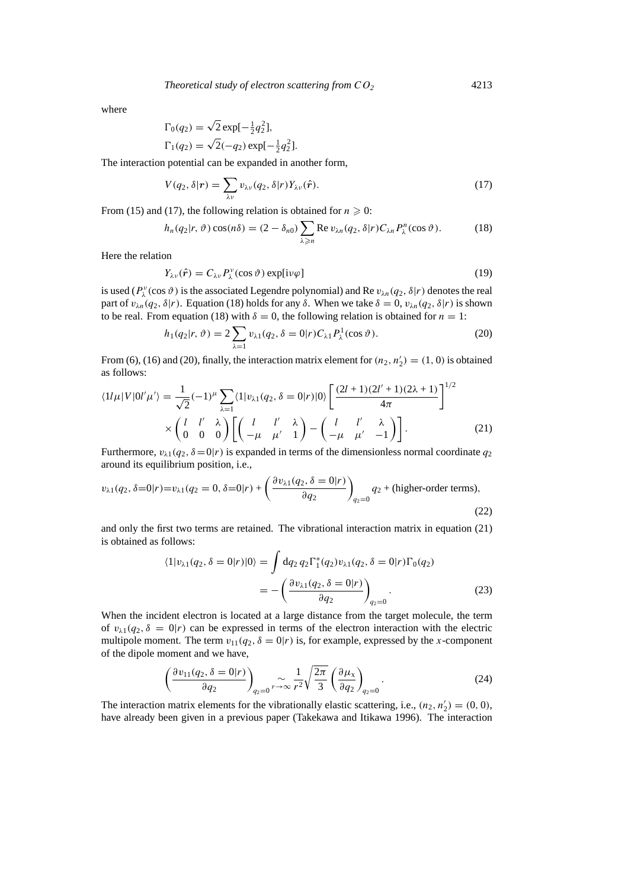where

$$
\Gamma_0(q_2) = \sqrt{2} \exp[-\frac{1}{2}q_2^2],
$$
  
\n
$$
\Gamma_1(q_2) = \sqrt{2}(-q_2) \exp[-\frac{1}{2}q_2^2].
$$

The interaction potential can be expanded in another form,

$$
V(q_2, \delta | \mathbf{r}) = \sum_{\lambda \nu} v_{\lambda \nu}(q_2, \delta | \mathbf{r}) Y_{\lambda \nu}(\hat{\mathbf{r}}).
$$
\n(17)

From (15) and (17), the following relation is obtained for  $n \ge 0$ :

$$
h_n(q_2|r,\vartheta)\cos(n\delta) = (2-\delta_{n0})\sum_{\lambda\geqslant n} \text{Re}\,v_{\lambda n}(q_2,\delta|r)C_{\lambda n}P_{\lambda}^n(\cos\vartheta). \tag{18}
$$

Here the relation

$$
Y_{\lambda\nu}(\hat{\boldsymbol{r}}) = C_{\lambda\nu} P_{\lambda}^{\nu}(\cos\vartheta) \exp[i\nu\varphi]
$$
 (19)

is used ( $P_\lambda^{\nu}(\cos \vartheta)$  is the associated Legendre polynomial) and Re  $v_{\lambda n}(q_2, \delta | r)$  denotes the real part of  $v_{\lambda n}(q_2, \delta|r)$ . Equation (18) holds for any  $\delta$ . When we take  $\delta = 0$ ,  $v_{\lambda n}(q_2, \delta|r)$  is shown to be real. From equation (18) with  $\delta = 0$ , the following relation is obtained for  $n = 1$ :

$$
h_1(q_2|r, \vartheta) = 2 \sum_{\lambda=1} v_{\lambda 1}(q_2, \delta = 0|r) C_{\lambda 1} P_{\lambda}^1(\cos \vartheta).
$$
 (20)

From (6), (16) and (20), finally, the interaction matrix element for  $(n_2, n'_2) = (1, 0)$  is obtained as follows: <sup>1</sup>*/*<sup>2</sup>

$$
\langle 1l\mu|V|0l'\mu'\rangle = \frac{1}{\sqrt{2}}(-1)^{\mu}\sum_{\lambda=1} \langle 1|v_{\lambda 1}(q_2,\delta=0|r)|0\rangle \left[\frac{(2l+1)(2l'+1)(2\lambda+1)}{4\pi}\right]^{1/2}
$$

$$
\times \begin{pmatrix} l & l' & \lambda \\ 0 & 0 & 0 \end{pmatrix} \left[\begin{pmatrix} l & l' & \lambda \\ -\mu & \mu' & 1 \end{pmatrix} - \begin{pmatrix} l & l' & \lambda \\ -\mu & \mu' & -1 \end{pmatrix}\right].
$$
(21)

Furthermore,  $v_{\lambda 1}(q_2, \delta = 0|r)$  is expanded in terms of the dimensionless normal coordinate  $q_2$ around its equilibrium position, i.e.,

$$
v_{\lambda 1}(q_2, \delta=0|r) = v_{\lambda 1}(q_2 = 0, \delta=0|r) + \left(\frac{\partial v_{\lambda 1}(q_2, \delta=0|r)}{\partial q_2}\right)_{q_2=0} q_2 + \text{(higher-order terms)},\tag{22}
$$

and only the first two terms are retained. The vibrational interaction matrix in equation (21) is obtained as follows:

$$
\langle 1|v_{\lambda 1}(q_2, \delta = 0|r)|0\rangle = \int dq_2 q_2 \Gamma_1^*(q_2) v_{\lambda 1}(q_2, \delta = 0|r) \Gamma_0(q_2)
$$
  
= 
$$
- \left( \frac{\partial v_{\lambda 1}(q_2, \delta = 0|r)}{\partial q_2} \right)_{q_2=0}.
$$
 (23)

When the incident electron is located at a large distance from the target molecule, the term of  $v_{\lambda 1}(q_2, \delta = 0 | r)$  can be expressed in terms of the electron interaction with the electric multipole moment. The term  $v_{11}(q_2, \delta = 0 | r)$  is, for example, expressed by the *x*-component of the dipole moment and we have,

$$
\left(\frac{\partial v_{11}(q_2, \delta=0|r)}{\partial q_2}\right)_{q_2=0} \sim \frac{1}{r^2} \sqrt{\frac{2\pi}{3}} \left(\frac{\partial \mu_x}{\partial q_2}\right)_{q_2=0}.
$$
\n(24)

The interaction matrix elements for the vibrationally elastic scattering, i.e.,  $(n_2, n'_2) = (0, 0)$ , have already been given in a previous paper (Takekawa and Itikawa 1996). The interaction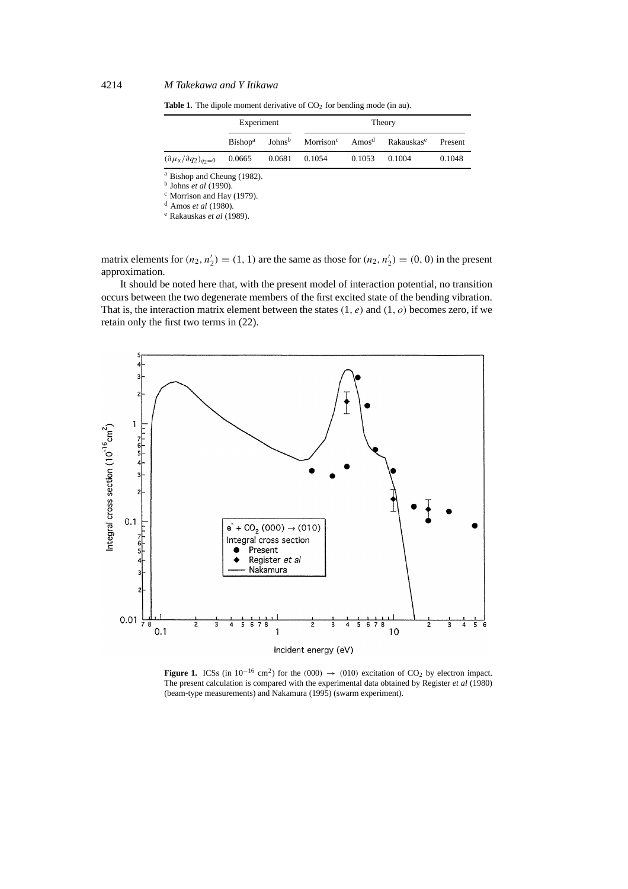**Table 1.** The dipole moment derivative of  $CO<sub>2</sub>$  for bending mode (in au).

|                                               | Experiment          |                    | Theory        |        |                                                                |         |
|-----------------------------------------------|---------------------|--------------------|---------------|--------|----------------------------------------------------------------|---------|
|                                               | Bishop <sup>a</sup> | Johns <sup>b</sup> |               |        | Morrison <sup>c</sup> Amos <sup>d</sup> Rakauskas <sup>e</sup> | Present |
| $(\partial \mu_{\rm X}/\partial q_2)_{q_2=0}$ | 0.0665              |                    | 0.0681 0.1054 | 0.1053 | 0.1004                                                         | 0.1048  |

<sup>a</sup> Bishop and Cheung (1982).

<sup>b</sup> Johns *et al* (1990).

<sup>c</sup> Morrison and Hay (1979).

<sup>d</sup> Amos *et al* (1980).

<sup>e</sup> Rakauskas *et al* (1989).

matrix elements for  $(n_2, n'_2) = (1, 1)$  are the same as those for  $(n_2, n'_2) = (0, 0)$  in the present approximation.

It should be noted here that, with the present model of interaction potential, no transition occurs between the two degenerate members of the first excited state of the bending vibration. That is, the interaction matrix element between the states *(*1*, e)* and *(*1*, o)* becomes zero, if we retain only the first two terms in (22).



**Figure 1.** ICSs (in  $10^{-16}$  cm<sup>2</sup>) for the  $(000) \rightarrow (010)$  excitation of CO<sub>2</sub> by electron impact. The present calculation is compared with the experimental data obtained by Register *et al* (1980) (beam-type measurements) and Nakamura (1995) (swarm experiment).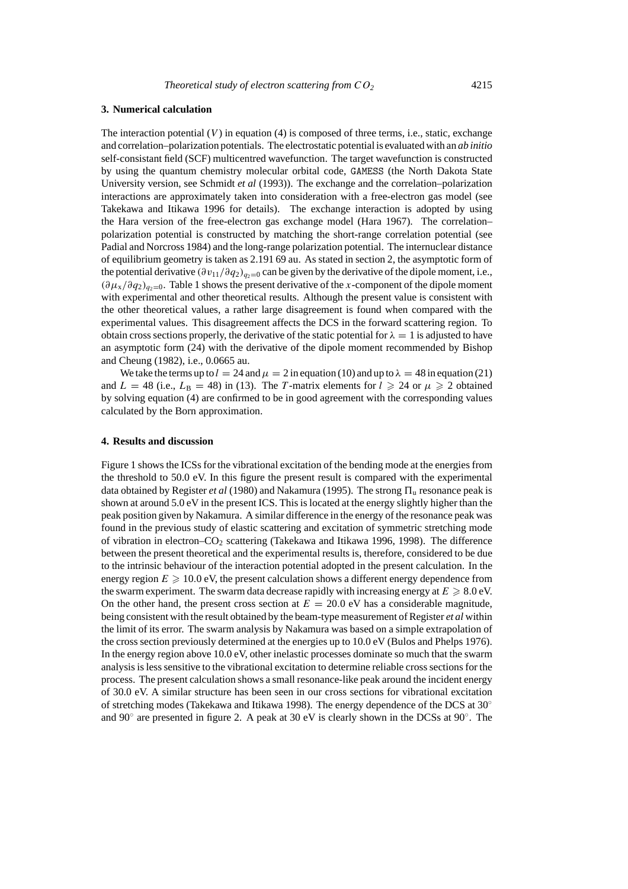## **3. Numerical calculation**

The interaction potential  $(V)$  in equation  $(4)$  is composed of three terms, i.e., static, exchange and correlation–polarization potentials. The electrostatic potential is evaluated with an *ab initio* self-consistant field (SCF) multicentred wavefunction. The target wavefunction is constructed by using the quantum chemistry molecular orbital code, GAMESS (the North Dakota State University version, see Schmidt *et al* (1993)). The exchange and the correlation–polarization interactions are approximately taken into consideration with a free-electron gas model (see Takekawa and Itikawa 1996 for details). The exchange interaction is adopted by using the Hara version of the free-electron gas exchange model (Hara 1967). The correlation– polarization potential is constructed by matching the short-range correlation potential (see Padial and Norcross 1984) and the long-range polarization potential. The internuclear distance of equilibrium geometry is taken as 2.191 69 au. As stated in section 2, the asymptotic form of the potential derivative  $(\partial v_{11}/\partial q_2)_{q_2=0}$  can be given by the derivative of the dipole moment, i.e., *(∂µ*x*/∂q*2*)q*2<sup>=</sup>0. Table 1 shows the present derivative of the *x*-component of the dipole moment with experimental and other theoretical results. Although the present value is consistent with the other theoretical values, a rather large disagreement is found when compared with the experimental values. This disagreement affects the DCS in the forward scattering region. To obtain cross sections properly, the derivative of the static potential for  $\lambda = 1$  is adjusted to have an asymptotic form (24) with the derivative of the dipole moment recommended by Bishop and Cheung (1982), i.e., 0.0665 au.

We take the terms up to  $l = 24$  and  $\mu = 2$  in equation (10) and up to  $\lambda = 48$  in equation (21) and  $L = 48$  (i.e.,  $L_B = 48$ ) in (13). The *T*-matrix elements for  $l \ge 24$  or  $\mu \ge 2$  obtained by solving equation (4) are confirmed to be in good agreement with the corresponding values calculated by the Born approximation.

#### **4. Results and discussion**

Figure 1 shows the ICSs for the vibrational excitation of the bending mode at the energies from the threshold to 50.0 eV. In this figure the present result is compared with the experimental data obtained by Register *et al* (1980) and Nakamura (1995). The strong  $\Pi_u$  resonance peak is shown at around 5.0 eV in the present ICS. This is located at the energy slightly higher than the peak position given by Nakamura. A similar difference in the energy of the resonance peak was found in the previous study of elastic scattering and excitation of symmetric stretching mode of vibration in electron–CO<sub>2</sub> scattering (Takekawa and Itikawa 1996, 1998). The difference between the present theoretical and the experimental results is, therefore, considered to be due to the intrinsic behaviour of the interaction potential adopted in the present calculation. In the energy region  $E \ge 10.0$  eV, the present calculation shows a different energy dependence from the swarm experiment. The swarm data decrease rapidly with increasing energy at  $E \ge 8.0$  eV. On the other hand, the present cross section at  $E = 20.0 \text{ eV}$  has a considerable magnitude, being consistent with the result obtained by the beam-type measurement of Register *et al* within the limit of its error. The swarm analysis by Nakamura was based on a simple extrapolation of the cross section previously determined at the energies up to 10.0 eV (Bulos and Phelps 1976). In the energy region above 10.0 eV, other inelastic processes dominate so much that the swarm analysis is less sensitive to the vibrational excitation to determine reliable cross sections for the process. The present calculation shows a small resonance-like peak around the incident energy of 30.0 eV. A similar structure has been seen in our cross sections for vibrational excitation of stretching modes (Takekawa and Itikawa 1998). The energy dependence of the DCS at  $30°$ and 90 $\degree$  are presented in figure 2. A peak at 30 eV is clearly shown in the DCSs at 90 $\degree$ . The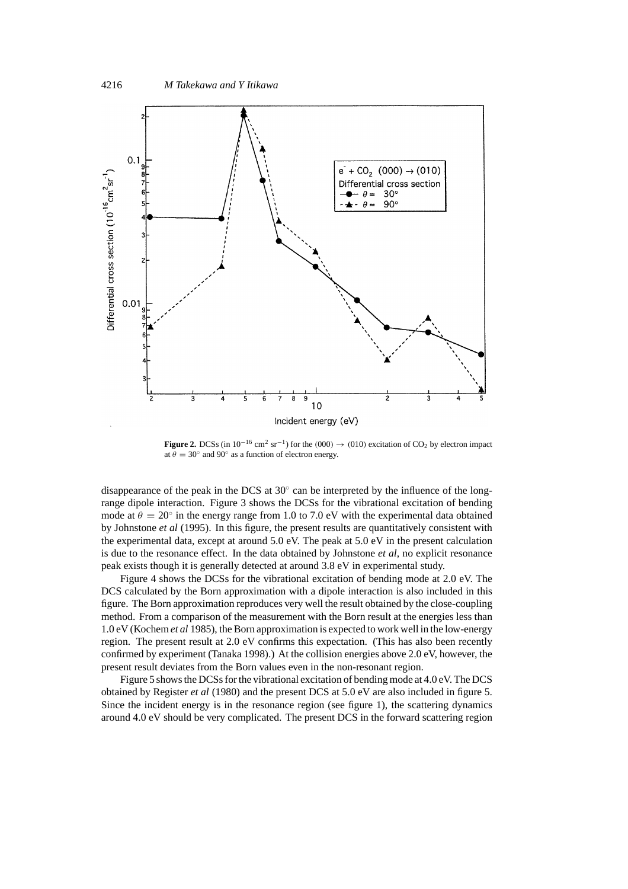

**Figure 2.** DCSs (in  $10^{-16}$  cm<sup>2</sup> sr<sup>-1</sup>) for the  $(000) \rightarrow (010)$  excitation of CO<sub>2</sub> by electron impact at  $\theta = 30^\circ$  and 90° as a function of electron energy.

disappearance of the peak in the DCS at  $30^\circ$  can be interpreted by the influence of the longrange dipole interaction. Figure 3 shows the DCSs for the vibrational excitation of bending mode at  $\theta = 20^\circ$  in the energy range from 1.0 to 7.0 eV with the experimental data obtained by Johnstone *et al* (1995). In this figure, the present results are quantitatively consistent with the experimental data, except at around 5.0 eV. The peak at 5.0 eV in the present calculation is due to the resonance effect. In the data obtained by Johnstone *et al*, no explicit resonance peak exists though it is generally detected at around 3.8 eV in experimental study.

Figure 4 shows the DCSs for the vibrational excitation of bending mode at 2.0 eV. The DCS calculated by the Born approximation with a dipole interaction is also included in this figure. The Born approximation reproduces very well the result obtained by the close-coupling method. From a comparison of the measurement with the Born result at the energies less than 1.0 eV (Kochem *et al* 1985), the Born approximation is expected to work well in the low-energy region. The present result at 2.0 eV confirms this expectation. (This has also been recently confirmed by experiment (Tanaka 1998).) At the collision energies above 2.0 eV, however, the present result deviates from the Born values even in the non-resonant region.

Figure 5 shows the DCSs for the vibrational excitation of bending mode at 4.0 eV. The DCS obtained by Register *et al* (1980) and the present DCS at 5.0 eV are also included in figure 5. Since the incident energy is in the resonance region (see figure 1), the scattering dynamics around 4.0 eV should be very complicated. The present DCS in the forward scattering region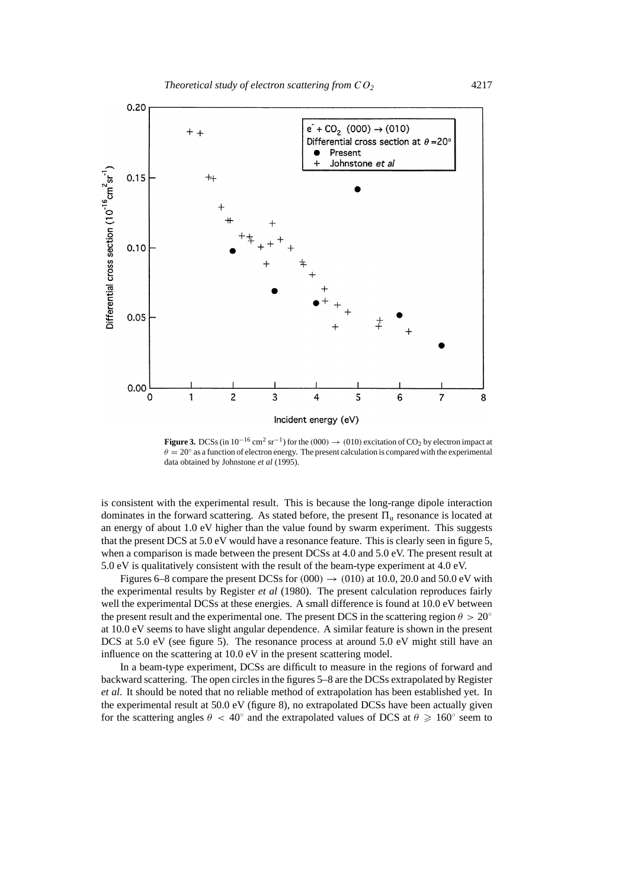

**Figure 3.** DCSs (in  $10^{-16}$  cm<sup>2</sup> sr<sup>-1</sup>) for the  $(000) \rightarrow (010)$  excitation of CO<sub>2</sub> by electron impact at  $\theta = 20^\circ$  as a function of electron energy. The present calculation is compared with the experimental data obtained by Johnstone *et al* (1995).

is consistent with the experimental result. This is because the long-range dipole interaction dominates in the forward scattering. As stated before, the present  $\Pi_{\mu}$  resonance is located at an energy of about 1.0 eV higher than the value found by swarm experiment. This suggests that the present DCS at 5.0 eV would have a resonance feature. This is clearly seen in figure 5, when a comparison is made between the present DCSs at 4.0 and 5.0 eV. The present result at 5.0 eV is qualitatively consistent with the result of the beam-type experiment at 4.0 eV.

Figures 6–8 compare the present DCSs for  $(000) \rightarrow (010)$  at 10.0, 20.0 and 50.0 eV with the experimental results by Register *et al* (1980). The present calculation reproduces fairly well the experimental DCSs at these energies. A small difference is found at 10.0 eV between the present result and the experimental one. The present DCS in the scattering region  $\theta > 20^\circ$ at 10.0 eV seems to have slight angular dependence. A similar feature is shown in the present DCS at 5.0 eV (see figure 5). The resonance process at around 5.0 eV might still have an influence on the scattering at 10.0 eV in the present scattering model.

In a beam-type experiment, DCSs are difficult to measure in the regions of forward and backward scattering. The open circles in the figures 5–8 are the DCSs extrapolated by Register *et al*. It should be noted that no reliable method of extrapolation has been established yet. In the experimental result at 50.0 eV (figure 8), no extrapolated DCSs have been actually given for the scattering angles  $\theta$  < 40° and the extrapolated values of DCS at  $\theta \ge 160^\circ$  seem to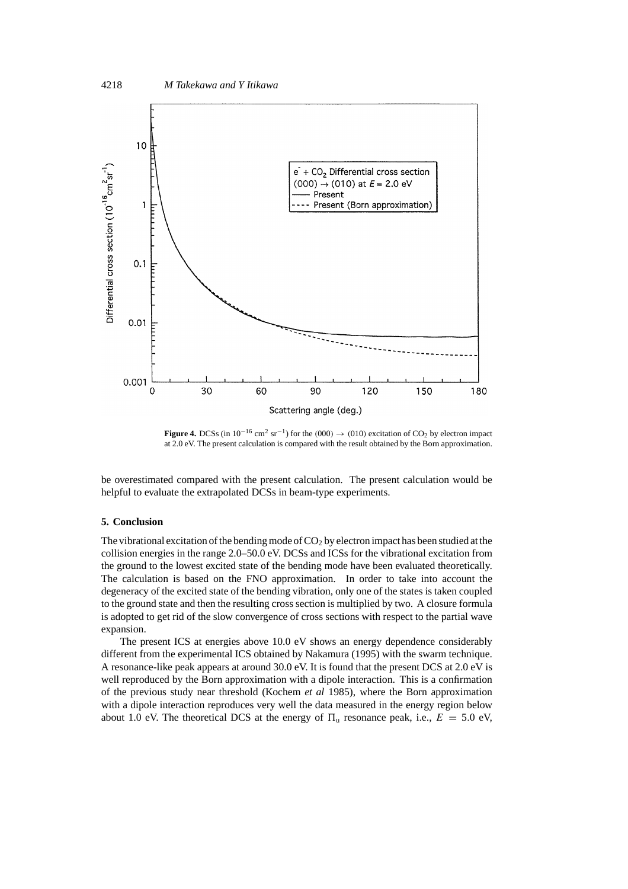

**Figure 4.** DCSs (in  $10^{-16}$  cm<sup>2</sup> sr<sup>-1</sup>) for the  $(000) \rightarrow (010)$  excitation of CO<sub>2</sub> by electron impact at 2.0 eV. The present calculation is compared with the result obtained by the Born approximation.

be overestimated compared with the present calculation. The present calculation would be helpful to evaluate the extrapolated DCSs in beam-type experiments.

## **5. Conclusion**

The vibrational excitation of the bending mode of  $CO<sub>2</sub>$  by electron impact has been studied at the collision energies in the range 2.0–50.0 eV. DCSs and ICSs for the vibrational excitation from the ground to the lowest excited state of the bending mode have been evaluated theoretically. The calculation is based on the FNO approximation. In order to take into account the degeneracy of the excited state of the bending vibration, only one of the states is taken coupled to the ground state and then the resulting cross section is multiplied by two. A closure formula is adopted to get rid of the slow convergence of cross sections with respect to the partial wave expansion.

The present ICS at energies above 10.0 eV shows an energy dependence considerably different from the experimental ICS obtained by Nakamura (1995) with the swarm technique. A resonance-like peak appears at around 30.0 eV. It is found that the present DCS at 2.0 eV is well reproduced by the Born approximation with a dipole interaction. This is a confirmation of the previous study near threshold (Kochem *et al* 1985), where the Born approximation with a dipole interaction reproduces very well the data measured in the energy region below about 1.0 eV. The theoretical DCS at the energy of  $\Pi_u$  resonance peak, i.e.,  $E = 5.0$  eV,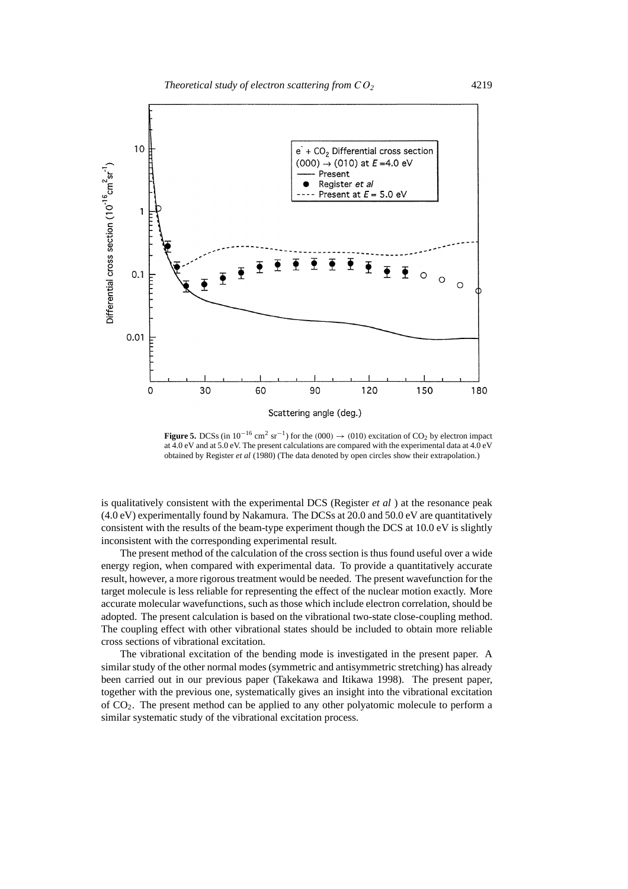

**Figure 5.** DCSs (in  $10^{-16}$  cm<sup>2</sup> sr<sup>-1</sup>) for the  $(000) \rightarrow (010)$  excitation of CO<sub>2</sub> by electron impact at 4.0 eV and at 5.0 eV. The present calculations are compared with the experimental data at 4.0 eV obtained by Register *et al* (1980) (The data denoted by open circles show their extrapolation.)

is qualitatively consistent with the experimental DCS (Register *et al* ) at the resonance peak (4.0 eV) experimentally found by Nakamura. The DCSs at 20.0 and 50.0 eV are quantitatively consistent with the results of the beam-type experiment though the DCS at 10.0 eV is slightly inconsistent with the corresponding experimental result.

The present method of the calculation of the cross section is thus found useful over a wide energy region, when compared with experimental data. To provide a quantitatively accurate result, however, a more rigorous treatment would be needed. The present wavefunction for the target molecule is less reliable for representing the effect of the nuclear motion exactly. More accurate molecular wavefunctions, such as those which include electron correlation, should be adopted. The present calculation is based on the vibrational two-state close-coupling method. The coupling effect with other vibrational states should be included to obtain more reliable cross sections of vibrational excitation.

The vibrational excitation of the bending mode is investigated in the present paper. A similar study of the other normal modes (symmetric and antisymmetric stretching) has already been carried out in our previous paper (Takekawa and Itikawa 1998). The present paper, together with the previous one, systematically gives an insight into the vibrational excitation of CO2. The present method can be applied to any other polyatomic molecule to perform a similar systematic study of the vibrational excitation process.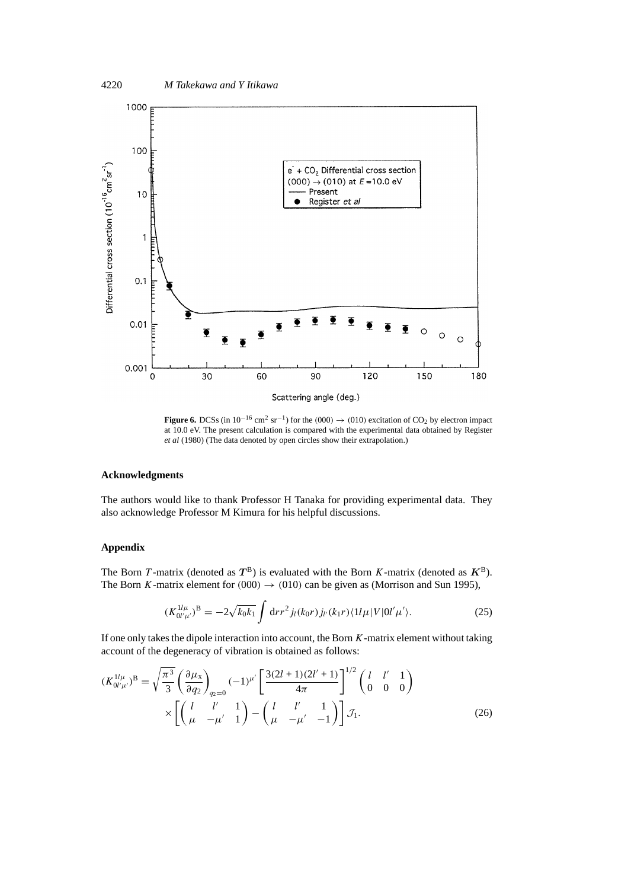



**Figure 6.** DCSs (in  $10^{-16}$  cm<sup>2</sup> sr<sup>-1</sup>) for the  $(000) \rightarrow (010)$  excitation of CO<sub>2</sub> by electron impact at 10.0 eV. The present calculation is compared with the experimental data obtained by Register *et al* (1980) (The data denoted by open circles show their extrapolation.)

## **Acknowledgments**

The authors would like to thank Professor H Tanaka for providing experimental data. They also acknowledge Professor M Kimura for his helpful discussions.

## **Appendix**

The Born *T*-matrix (denoted as  $T^B$ ) is evaluated with the Born *K*-matrix (denoted as  $K^B$ ). The Born *K*-matrix element for  $(000) \rightarrow (010)$  can be given as (Morrison and Sun 1995),

$$
(K_{0l'\mu'}^{1l\mu})^B = -2\sqrt{k_0k_1} \int dr r^2 j_l(k_0r) j_{l'}(k_1r) \langle 1l\mu | V|0l'\mu' \rangle.
$$
 (25)

If one only takes the dipole interaction into account, the Born *K*-matrix element without taking account of the degeneracy of vibration is obtained as follows:

$$
(K_{0l'\mu'}^{1l\mu})^B = \sqrt{\frac{\pi^3}{3}} \left(\frac{\partial \mu_x}{\partial q_2}\right)_{q_2=0} (-1)^{\mu'} \left[\frac{3(2l+1)(2l'+1)}{4\pi}\right]^{1/2} \left(\begin{array}{ccc} l & l' & 1\\ 0 & 0 & 0 \end{array}\right)
$$

$$
\times \left[\begin{pmatrix} l & l' & 1\\ \mu & -\mu' & 1 \end{pmatrix} - \begin{pmatrix} l & l' & 1\\ \mu & -\mu' & -1 \end{pmatrix}\right] \mathcal{J}_1.
$$
 (26)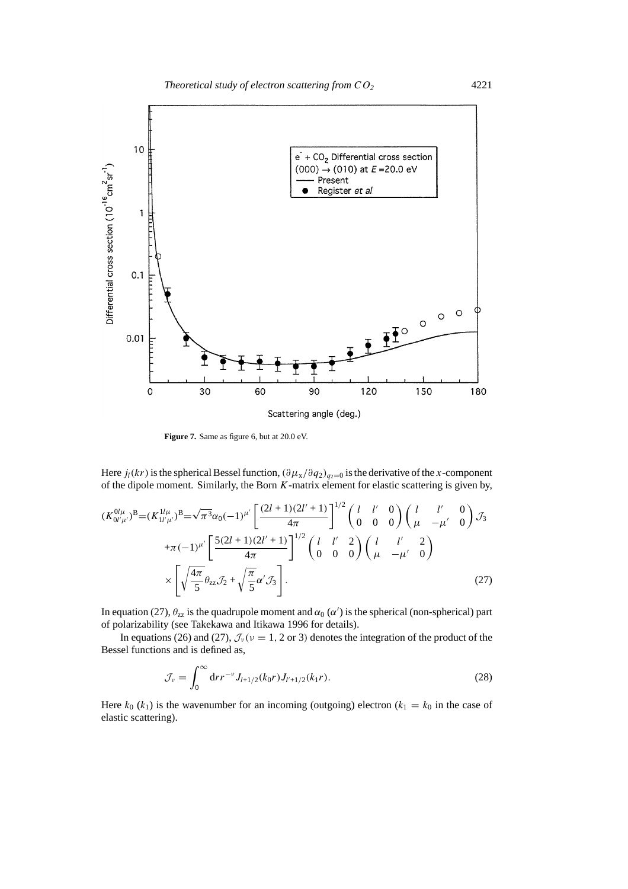

**Figure 7.** Same as figure 6, but at 20.0 eV.

Here  $j_l(kr)$  is the spherical Bessel function,  $(\partial \mu_x / \partial q_2)_{q_2=0}$  is the derivative of the *x*-component of the dipole moment. Similarly, the Born *K*-matrix element for elastic scattering is given by,

$$
(K_{0l'\mu'}^{0l\mu})^{\text{B}} = (K_{1l'\mu'}^{1l\mu})^{\text{B}} = \sqrt{\pi^3} \alpha_0 (-1)^{\mu'} \left[ \frac{(2l+1)(2l'+1)}{4\pi} \right]^{1/2} \begin{pmatrix} l & l' & 0 \\ 0 & 0 & 0 \end{pmatrix} \begin{pmatrix} l & l' & 0 \\ \mu & -\mu' & 0 \end{pmatrix} \mathcal{J}_3
$$
  
 
$$
+ \pi (-1)^{\mu'} \left[ \frac{5(2l+1)(2l'+1)}{4\pi} \right]^{1/2} \begin{pmatrix} l & l' & 2 \\ 0 & 0 & 0 \end{pmatrix} \begin{pmatrix} l & l' & 2 \\ \mu & -\mu' & 0 \end{pmatrix}
$$
  
 
$$
\times \left[ \sqrt{\frac{4\pi}{5}} \theta_{2z} \mathcal{J}_2 + \sqrt{\frac{\pi}{5}} \alpha' \mathcal{J}_3 \right].
$$
 (27)

In equation (27),  $\theta_{zz}$  is the quadrupole moment and  $\alpha_0(\alpha')$  is the spherical (non-spherical) part of polarizability (see Takekawa and Itikawa 1996 for details).

In equations (26) and (27),  $\mathcal{J}_{\nu}(\nu = 1, 2 \text{ or } 3)$  denotes the integration of the product of the Bessel functions and is defined as,

$$
\mathcal{J}_{\nu} = \int_0^{\infty} dr r^{-\nu} J_{l+1/2}(k_0 r) J_{l'+1/2}(k_1 r).
$$
 (28)

Here  $k_0$  ( $k_1$ ) is the wavenumber for an incoming (outgoing) electron ( $k_1 = k_0$  in the case of elastic scattering).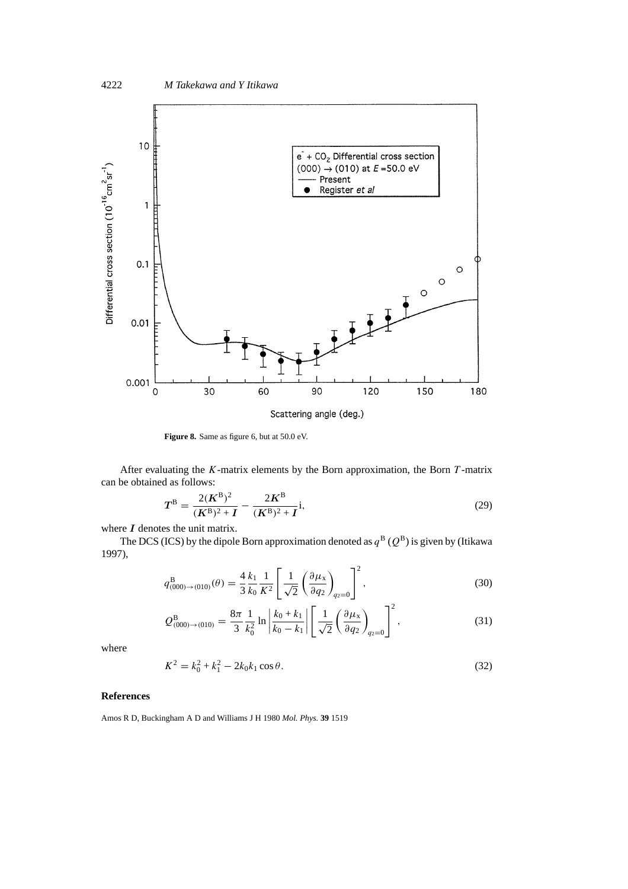

**Figure 8.** Same as figure 6, but at 50.0 eV.

After evaluating the *K*-matrix elements by the Born approximation, the Born *T* -matrix can be obtained as follows:

$$
T^{B} = \frac{2(K^{B})^{2}}{(K^{B})^{2} + I} - \frac{2K^{B}}{(K^{B})^{2} + I}i,
$$
\n(29)

where *I* denotes the unit matrix.

The DCS (ICS) by the dipole Born approximation denoted as  $q^B$  ( $Q^B$ ) is given by (Itikawa 1997),

$$
q_{(000)\to(010)}^{\text{B}}(\theta) = \frac{4}{3} \frac{k_1}{k_0} \frac{1}{K^2} \left[ \frac{1}{\sqrt{2}} \left( \frac{\partial \mu_x}{\partial q_2} \right)_{q_2=0} \right]^2, \tag{30}
$$

$$
Q_{(000)\to(010)}^{\text{B}} = \frac{8\pi}{3} \frac{1}{k_0^2} \ln \left| \frac{k_0 + k_1}{k_0 - k_1} \right| \left[ \frac{1}{\sqrt{2}} \left( \frac{\partial \mu_x}{\partial q_2} \right)_{q_2 = 0} \right]^2, \tag{31}
$$

where

$$
K^2 = k_0^2 + k_1^2 - 2k_0k_1\cos\theta.
$$
 (32)

## **References**

Amos R D, Buckingham A D and Williams J H 1980 *Mol. Phys.* **39** 1519